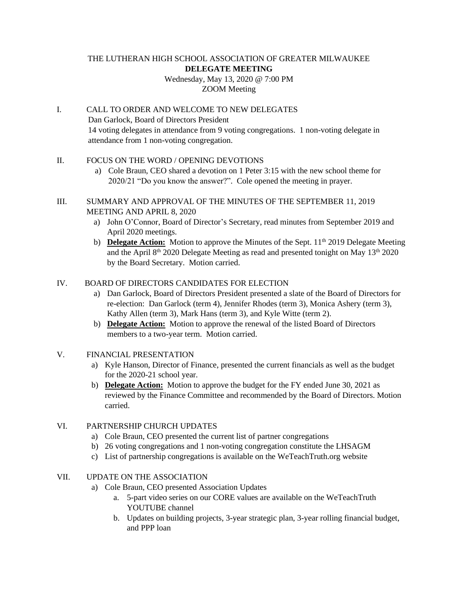#### THE LUTHERAN HIGH SCHOOL ASSOCIATION OF GREATER MILWAUKEE **DELEGATE MEETING**  Wednesday, May 13, 2020 @ 7:00 PM

## ZOOM Meeting

I. CALL TO ORDER AND WELCOME TO NEW DELEGATES Dan Garlock, Board of Directors President 14 voting delegates in attendance from 9 voting congregations. 1 non-voting delegate in attendance from 1 non-voting congregation.

## II. FOCUS ON THE WORD / OPENING DEVOTIONS

- a) Cole Braun, CEO shared a devotion on 1 Peter 3:15 with the new school theme for 2020/21 "Do you know the answer?". Cole opened the meeting in prayer.
- III. SUMMARY AND APPROVAL OF THE MINUTES OF THE SEPTEMBER 11, 2019 MEETING AND APRIL 8, 2020
	- a) John O'Connor, Board of Director's Secretary, read minutes from September 2019 and April 2020 meetings.
	- b) **Delegate Action:** Motion to approve the Minutes of the Sept. 11<sup>th</sup> 2019 Delegate Meeting and the April  $8<sup>th</sup>$  2020 Delegate Meeting as read and presented tonight on May 13<sup>th</sup> 2020 by the Board Secretary. Motion carried.

## IV. BOARD OF DIRECTORS CANDIDATES FOR ELECTION

- a) Dan Garlock, Board of Directors President presented a slate of the Board of Directors for re-election: Dan Garlock (term 4), Jennifer Rhodes (term 3), Monica Ashery (term 3), Kathy Allen (term 3), Mark Hans (term 3), and Kyle Witte (term 2).
- b) **Delegate Action:** Motion to approve the renewal of the listed Board of Directors members to a two-year term. Motion carried.
- V. FINANCIAL PRESENTATION
	- a) Kyle Hanson, Director of Finance, presented the current financials as well as the budget for the 2020-21 school year.
	- b) **Delegate Action:** Motion to approve the budget for the FY ended June 30, 2021 as reviewed by the Finance Committee and recommended by the Board of Directors. Motion carried.

# VI. PARTNERSHIP CHURCH UPDATES

- a) Cole Braun, CEO presented the current list of partner congregations
- b) 26 voting congregations and 1 non-voting congregation constitute the LHSAGM
- c) List of partnership congregations is available on the WeTeachTruth.org website

# VII. UPDATE ON THE ASSOCIATION

- a) Cole Braun, CEO presented Association Updates
	- a. 5-part video series on our CORE values are available on the WeTeachTruth YOUTUBE channel
	- b. Updates on building projects, 3-year strategic plan, 3-year rolling financial budget, and PPP loan